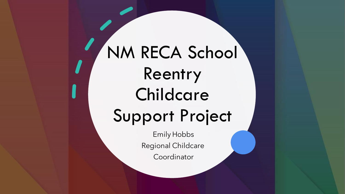NM RECA School Reentry Childcare Support Project

Emily Hobbs

Regional Childcare

Coordinator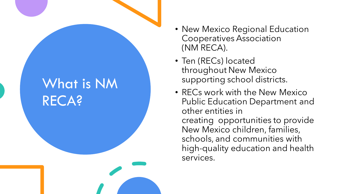## What is NM RECA?

- New Mexico Regional Education Cooperatives Association (NM RECA).
- Ten (RECs) located throughout New Mexico supporting school districts.
- RECs work with the New Mexico Public Education Department and other entities in creating opportunities to provide New Mexico children, families, schools, and communities with high -quality education and health services.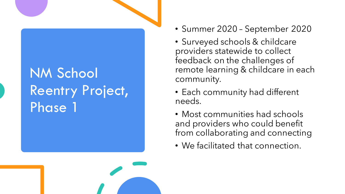# NM School Reentry Project, Phase 1

- Summer 2020 September 2020
- Surveyed schools & childcare providers statewide to collect feedback on the challenges of remote learning & childcare in each community.
- Each community had different needs.
- Most communities had schools and providers who could benefit from collaborating and connecting
- We facilitated that connection.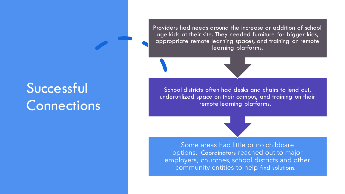#### Successful **Connections**

Providers had needs around the increase or addition of school age kids at their site. They needed furniture for bigger kids, appropriate remote learning spaces, and training on remote learning platforms.

School districts often had desks and chairs to lend out, underutilized space on their campus, and training on their remote learning platforms.



Some areas had little or no childcare options. Coordinators reached out to major employers, churches, school districts and other community entities to help find solutions.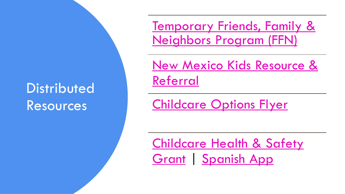## **Distributed** Resources

Temporary Friends, Family & [Neighbors Program \(FFN\)](https://tb2cdn.schoolwebmasters.com/accnt_171650/site_257648/Documents/Becoming-a-Childcare-Provider-in-Your-Home-English.pdf)

[New Mexico Kids Resource &](https://tb2cdn.schoolwebmasters.com/accnt_171650/site_257648/Documents/NewMexicoKids-Resource-and-Referral-English-and-Spanish.pdf)  Referral

[Childcare Options Flyer](https://tb2cdn.schoolwebmasters.com/accnt_171650/site_257648/Documents/Childcare-Flyer-English.pdf)

[Childcare Health & Safety](https://swrec10.formstack.com/forms/new_mexico_child_care_health_and_safety_grants_application)  Grant | [Spanish App](https://swrec10.formstack.com/forms/new_mexico_child_care_health_and_safety_grants_application_spanish)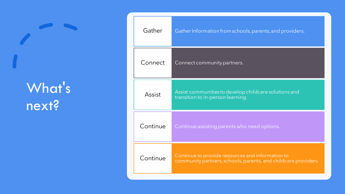# What's next?

| Gather   | Gather Information from schools, parents, and providers.                                                           |
|----------|--------------------------------------------------------------------------------------------------------------------|
| Connect  | Connect community partners.                                                                                        |
| Assist   | Assist communities to develop childcare solutions and<br>transition to in-person learning.                         |
| Continue | Continue assisting parents who need options.                                                                       |
| Continue | Continue to provide resources and information to<br>community partners, schools, parents, and childcare providers. |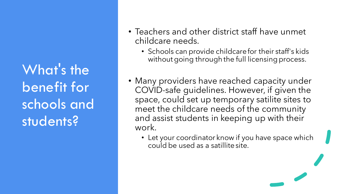What's the benefit for schools and students?

- Teachers and other district staff have unmet childcare needs.
	- Schools can provide childcare for their staff's kids without going through the full licensing process.
- Many providers have reached capacity under COVID-safe guidelines. However, if given the space, could set up temporary satilite sites to meet the childcare needs of the community and assist students in keeping up with their work.
	- Let your coordinator know if you have space which could be used as a satillite site.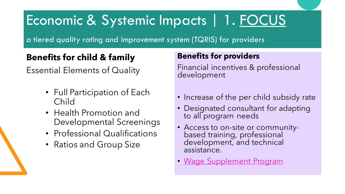## Economic & Systemic Impacts | 1. [FOCUS](https://www.nmececd.org/focus-tqris/)

a tiered quality rating and improvement system (TQRIS) for providers

#### **Benefits for child & family**

Essential Elements of Quality

- Full Participation of Each Child
- Health Promotion and Developmental Screenings
- Professional Qualifications
- Ratios and Group Size

#### **Benefits for providers**

Financial incentives & professional development

- Increase of the per child subsidy rate
- Designated consultant for adapting to all program needs
- Access to on-site or communitybased training, professional development, and technical assistance.
- [Wage Supplement Program](https://ececdscholarship.org/wage-supplement/)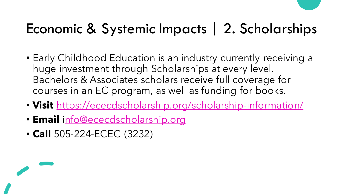# Economic & Systemic Impacts | 2. Scholarships

- Early Childhood Education is an industry currently receiving a huge investment through Scholarships at every level. Bachelors & Associates scholars receive full coverage for courses in an EC program, as well as funding for books.
- **Visit** <https://ececdscholarship.org/scholarship-information/>
- **Email** [info@ececdscholarship.org](mailto:nfo@ececdscholarship.org)
- **Call** 505-224-ECEC (3232)

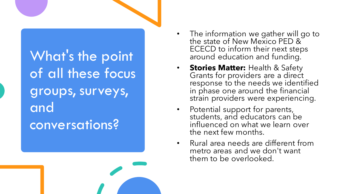What's the point of all these focus groups, surveys, and conversations?

- The information we gather will go to the state of New Mexico PED & ECECD to inform their next steps around education and funding.
- **Stories Matter:** Health & Safety Grants for providers are a direct response to the needs we identified in phase one around the financial strain providers were experiencing.
- Potential support for parents, students, and educators can be influenced on what we learn over the next few months.
- Rural area needs are different from metro areas and we don't want them to be overlooked.